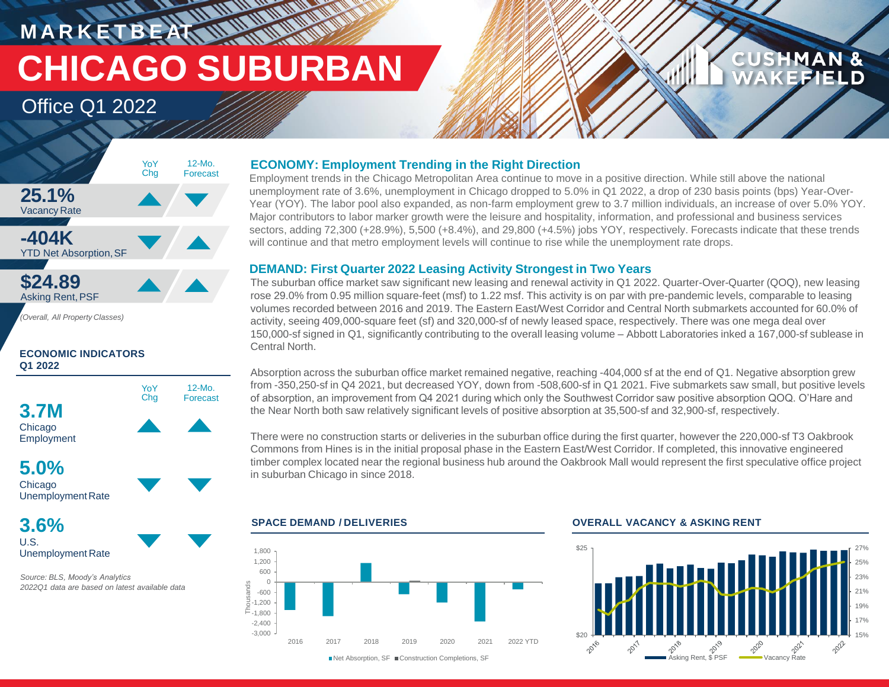**M A R K E T B E AT CHICAGO SUBURBAN**

**WANKING** 

## Office Q1 2022



*(Overall, All Property Classes)*

## **ECONOMIC INDICATORS Q1 2022**



**3.6%** U.S. Unemployment Rate

*Source: BLS, Moody's Analytics 2022Q1 data are based on latest available data*

## **ECONOMY: Employment Trending in the Right Direction**

Employment trends in the Chicago Metropolitan Area continue to move in a positive direction. While still above the national unemployment rate of 3.6%, unemployment in Chicago dropped to 5.0% in Q1 2022, a drop of 230 basis points (bps) Year-Over-Year (YOY). The labor pool also expanded, as non-farm employment grew to 3.7 million individuals, an increase of over 5.0% YOY. Major contributors to labor marker growth were the leisure and hospitality, information, and professional and business services sectors, adding 72,300 (+28.9%), 5,500 (+8.4%), and 29,800 (+4.5%) jobs YOY, respectively. Forecasts indicate that these trends will continue and that metro employment levels will continue to rise while the unemployment rate drops.

## **DEMAND: First Quarter 2022 Leasing Activity Strongest in Two Years**

The suburban office market saw significant new leasing and renewal activity in Q1 2022. Quarter-Over-Quarter (QOQ), new leasing rose 29.0% from 0.95 million square-feet (msf) to 1.22 msf. This activity is on par with pre-pandemic levels, comparable to leasing volumes recorded between 2016 and 2019. The Eastern East/West Corridor and Central North submarkets accounted for 60.0% of activity, seeing 409,000-square feet (sf) and 320,000-sf of newly leased space, respectively. There was one mega deal over 150,000-sf signed in Q1, significantly contributing to the overall leasing volume – Abbott Laboratories inked a 167,000-sf sublease in Central North.

Absorption across the suburban office market remained negative, reaching -404,000 sf at the end of Q1. Negative absorption grew from -350,250-sf in Q4 2021, but decreased YOY, down from -508,600-sf in Q1 2021. Five submarkets saw small, but positive levels of absorption, an improvement from Q4 2021 during which only the Southwest Corridor saw positive absorption QOQ. O'Hare and the Near North both saw relatively significant levels of positive absorption at 35,500-sf and 32,900-sf, respectively.

There were no construction starts or deliveries in the suburban office during the first quarter, however the 220,000-sf T3 Oakbrook Commons from Hines is in the initial proposal phase in the Eastern East/West Corridor. If completed, this innovative engineered timber complex located near the regional business hub around the Oakbrook Mall would represent the first speculative office project in suburban Chicago in since 2018.



## **SPACE DEMAND / DELIVERIES OVERALL VACANCY & ASKING RENT**



**CUSHMAN &** 

**FEIELD**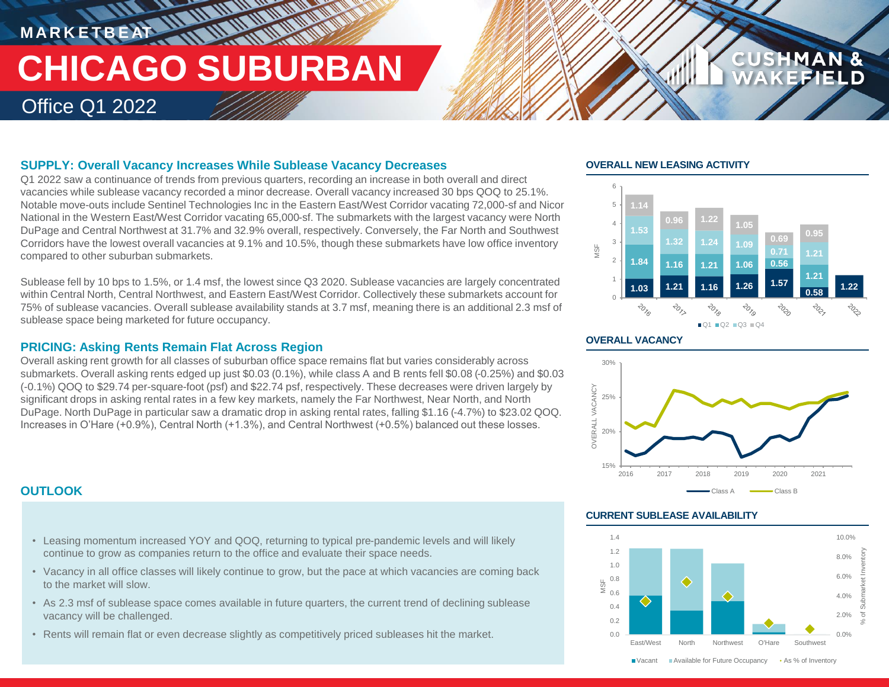## **MARKETBEAT 11 MMWWWW TENERAL MARKETING CHICAGO SUBURBAN** Office Q1 2022

## **SUPPLY: Overall Vacancy Increases While Sublease Vacancy Decreases**

Q1 2022 saw a continuance of trends from previous quarters, recording an increase in both overall and direct vacancies while sublease vacancy recorded a minor decrease. Overall vacancy increased 30 bps QOQ to 25.1%. Notable move-outs include Sentinel Technologies Inc in the Eastern East/West Corridor vacating 72,000-sf and Nicor National in the Western East/West Corridor vacating 65,000-sf. The submarkets with the largest vacancy were North DuPage and Central Northwest at 31.7% and 32.9% overall, respectively. Conversely, the Far North and Southwest Corridors have the lowest overall vacancies at 9.1% and 10.5%, though these submarkets have low office inventory compared to other suburban submarkets.

Sublease fell by 10 bps to 1.5%, or 1.4 msf, the lowest since Q3 2020. Sublease vacancies are largely concentrated within Central North, Central Northwest, and Eastern East/West Corridor. Collectively these submarkets account for 75% of sublease vacancies. Overall sublease availability stands at 3.7 msf, meaning there is an additional 2.3 msf of sublease space being marketed for future occupancy.

## **PRICING: Asking Rents Remain Flat Across Region**

Overall asking rent growth for all classes of suburban office space remains flat but varies considerably across submarkets. Overall asking rents edged up just \$0.03 (0.1%), while class A and B rents fell \$0.08 (-0.25%) and \$0.03 (-0.1%) QOQ to \$29.74 per-square-foot (psf) and \$22.74 psf, respectively. These decreases were driven largely by significant drops in asking rental rates in a few key markets, namely the Far Northwest, Near North, and North DuPage. North DuPage in particular saw a dramatic drop in asking rental rates, falling \$1.16 (-4.7%) to \$23.02 QOQ. Increases in O'Hare (+0.9%), Central North (+1.3%), and Central Northwest (+0.5%) balanced out these losses.

## **OVERALL NEW LEASING ACTIVITY**



**CUSHMAN &** 

## **OVERALL VACANCY**



## **CURRENT SUBLEASE AVAILABILITY**



## **OUTLOOK**

- Leasing momentum increased YOY and QOQ, returning to typical pre-pandemic levels and will likely continue to grow as companies return to the office and evaluate their space needs.
- Vacancy in all office classes will likely continue to grow, but the pace at which vacancies are coming back to the market will slow.
- As 2.3 msf of sublease space comes available in future quarters, the current trend of declining sublease vacancy will be challenged.
- Rents will remain flat or even decrease slightly as competitively priced subleases hit the market. 0.0% and the masket of the computation of the computation of the control of the control of the control of the southwest o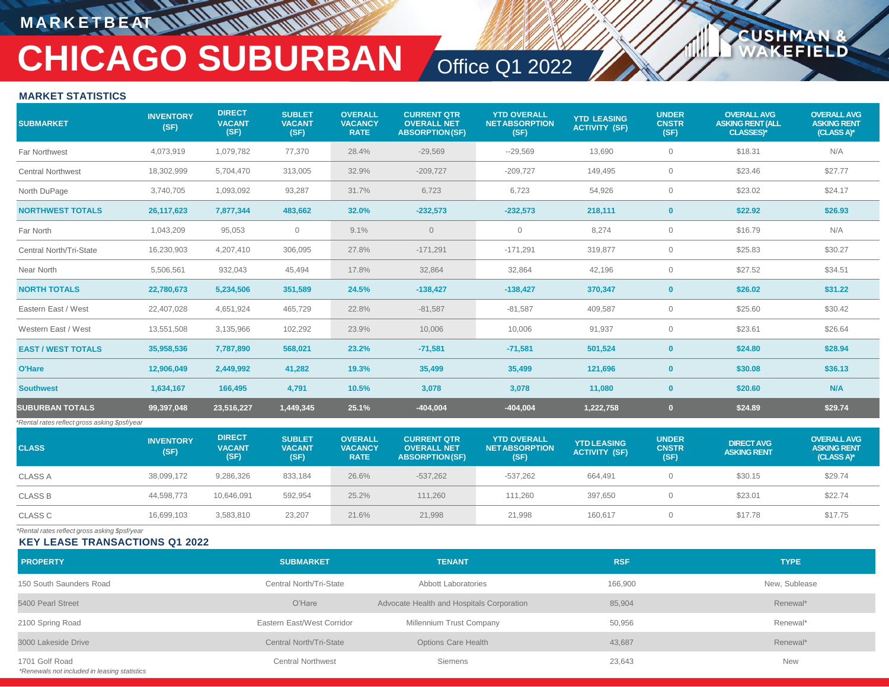## **M A R K E T B E AT**

# **CHICAGO SUBURBAN** Office Q1 2022

**USHM** 

**ELD** 

## **MARKET STATISTICS**

| <b>SUBMARKET</b>                              | <b>INVENTORY</b><br>(SF) | <b>DIRECT</b><br><b>VACANT</b><br>(SF) | <b>SUBLET</b><br><b>VACANT</b><br>(SF) | <b>OVERALL</b><br><b>VACANCY</b><br><b>RATE</b> | <b>CURRENT QTR</b><br><b>OVERALL NET</b><br><b>ABSORPTION(SF)</b> | <b>YTD OVERALL</b><br><b>NET ABSORPTION</b><br>(SF) | <b>YTD LEASING</b><br><b>ACTIVITY (SF)</b> | <b>UNDER</b><br><b>CNSTR</b><br>(SF) | <b>OVERALL AVG</b><br><b>ASKING RENT (ALL</b><br><b>CLASSES)*</b> | <b>OVERALL AVG</b><br><b>ASKING RENT</b><br>(CLASS A)* |
|-----------------------------------------------|--------------------------|----------------------------------------|----------------------------------------|-------------------------------------------------|-------------------------------------------------------------------|-----------------------------------------------------|--------------------------------------------|--------------------------------------|-------------------------------------------------------------------|--------------------------------------------------------|
| Far Northwest                                 | 4,073,919                | 1,079,782                              | 77,370                                 | 28.4%                                           | $-29,569$                                                         | $-29,569$                                           | 13,690                                     | $\mathbf 0$                          | \$18.31                                                           | N/A                                                    |
| <b>Central Northwest</b>                      | 18,302,999               | 5,704,470                              | 313,005                                | 32.9%                                           | $-209,727$                                                        | $-209,727$                                          | 149,495                                    | $\circ$                              | \$23.46                                                           | \$27.77                                                |
| North DuPage                                  | 3,740,705                | 1,093,092                              | 93,287                                 | 31.7%                                           | 6,723                                                             | 6,723                                               | 54,926                                     | $\circ$                              | \$23.02                                                           | \$24.17                                                |
| <b>NORTHWEST TOTALS</b>                       | 26,117,623               | 7,877,344                              | 483,662                                | 32.0%                                           | $-232,573$                                                        | $-232,573$                                          | 218,111                                    | $\mathbf{0}$                         | \$22.92                                                           | \$26.93                                                |
| Far North                                     | 1,043,209                | 95,053                                 | $\circ$                                | 9.1%                                            | $\circ$                                                           | $\mathbf 0$                                         | 8,274                                      | $\circ$                              | \$16.79                                                           | N/A                                                    |
| Central North/Tri-State                       | 16,230,903               | 4,207,410                              | 306,095                                | 27.8%                                           | $-171,291$                                                        | $-171,291$                                          | 319,877                                    | $\mathbf{0}$                         | \$25.83                                                           | \$30.27                                                |
| Near North                                    | 5,506,561                | 932,043                                | 45,494                                 | 17.8%                                           | 32,864                                                            | 32,864                                              | 42,196                                     | $\circ$                              | \$27.52                                                           | \$34.51                                                |
| <b>NORTH TOTALS</b>                           | 22,780,673               | 5,234,506                              | 351,589                                | 24.5%                                           | $-138,427$                                                        | $-138,427$                                          | 370,347                                    | $\mathbf{0}$                         | \$26.02                                                           | \$31.22                                                |
| Eastern East / West                           | 22,407,028               | 4,651,924                              | 465,729                                | 22.8%                                           | $-81,587$                                                         | $-81,587$                                           | 409,587                                    | $\circ$                              | \$25.60                                                           | \$30.42                                                |
| Western East / West                           | 13,551,508               | 3,135,966                              | 102,292                                | 23.9%                                           | 10,006                                                            | 10,006                                              | 91,937                                     | $\mathbf{0}$                         | \$23.61                                                           | \$26.64                                                |
| <b>EAST / WEST TOTALS</b>                     | 35,958,536               | 7,787,890                              | 568,021                                | 23.2%                                           | $-71,581$                                                         | $-71.581$                                           | 501.524                                    | $\mathbf{0}$                         | \$24.80                                                           | \$28.94                                                |
| O'Hare                                        | 12,906,049               | 2,449,992                              | 41,282                                 | 19.3%                                           | 35,499                                                            | 35,499                                              | 121,696                                    | $\mathbf{0}$                         | \$30.08                                                           | \$36.13                                                |
| <b>Southwest</b>                              | 1,634,167                | 166,495                                | 4,791                                  | 10.5%                                           | 3,078                                                             | 3,078                                               | 11,080                                     | $\mathbf{0}$                         | \$20.60                                                           | N/A                                                    |
| <b>SUBURBAN TOTALS</b>                        | 99,397,048               | 23,516,227                             | 1,449,345                              | 25.1%                                           | $-404,004$                                                        | $-404,004$                                          | 1,222,758                                  | $\mathbf{0}$                         | \$24.89                                                           | \$29.74                                                |
| *Rental rates reflect gross asking \$psf/year |                          |                                        |                                        |                                                 |                                                                   |                                                     |                                            |                                      |                                                                   |                                                        |
| <b>CLASS</b>                                  | <b>INVENTORY</b><br>(SF) | <b>DIRECT</b><br><b>VACANT</b><br>(SF) | <b>SUBLET</b><br><b>VACANT</b><br>(SF) | <b>OVERALL</b><br><b>VACANCY</b><br><b>RATE</b> | <b>CURRENT QTR</b><br><b>OVERALL NET</b><br><b>ABSORPTION(SF)</b> | <b>YTD OVERALL</b><br><b>NET ABSORPTION</b><br>(SF) | <b>YTD LEASING</b><br><b>ACTIVITY (SF)</b> | <b>UNDER</b><br><b>CNSTR</b><br>(SF) | <b>DIRECT AVG</b><br><b>ASKING RENT</b>                           | <b>OVERALL AVG</b><br><b>ASKING RENT</b><br>(CLASS A)* |
| <b>CLASS A</b>                                | 38,099,172               | 9,286,326                              | 833,184                                | 26.6%                                           | $-537,262$                                                        | $-537,262$                                          | 664,491                                    | $\overline{0}$                       | \$30.15                                                           | \$29.74                                                |
| <b>CLASS B</b>                                | 44,598,773               | 10,646,091                             | 592,954                                | 25.2%                                           | 111,260                                                           | 111,260                                             | 397,650                                    | $\overline{0}$                       | \$23.01                                                           | \$22.74                                                |
| <b>CLASS C</b>                                | 16,699,103               | 3,583,810                              | 23,207                                 | 21.6%                                           | 21,998                                                            | 21,998                                              | 160,617                                    | $\mathbf{0}$                         | \$17.78                                                           | \$17.75                                                |
|                                               |                          |                                        |                                        |                                                 |                                                                   |                                                     |                                            |                                      |                                                                   |                                                        |

*\*Rental rates reflect gross asking \$psf/year*

### **KEY LEASE TRANSACTIONS Q1 2022**

| <b>PROPERTY</b>                                                | <b>SUBMARKET</b>           | <b>TENANT</b>                             | <b>RSF</b> | <b>TYPE</b>   |
|----------------------------------------------------------------|----------------------------|-------------------------------------------|------------|---------------|
| 150 South Saunders Road                                        | Central North/Tri-State    | Abbott Laboratories                       | 166,900    | New, Sublease |
| 5400 Pearl Street                                              | O'Hare                     | Advocate Health and Hospitals Corporation | 85,904     | Renewal*      |
| 2100 Spring Road                                               | Eastern East/West Corridor | Millennium Trust Company                  | 50,956     | Renewal*      |
| 3000 Lakeside Drive                                            | Central North/Tri-State    | Options Care Health                       | 43,687     | Renewal*      |
| 1701 Golf Road<br>*Renewals not included in leasing statistics | <b>Central Northwest</b>   | Siemens                                   | 23,643     | <b>New</b>    |